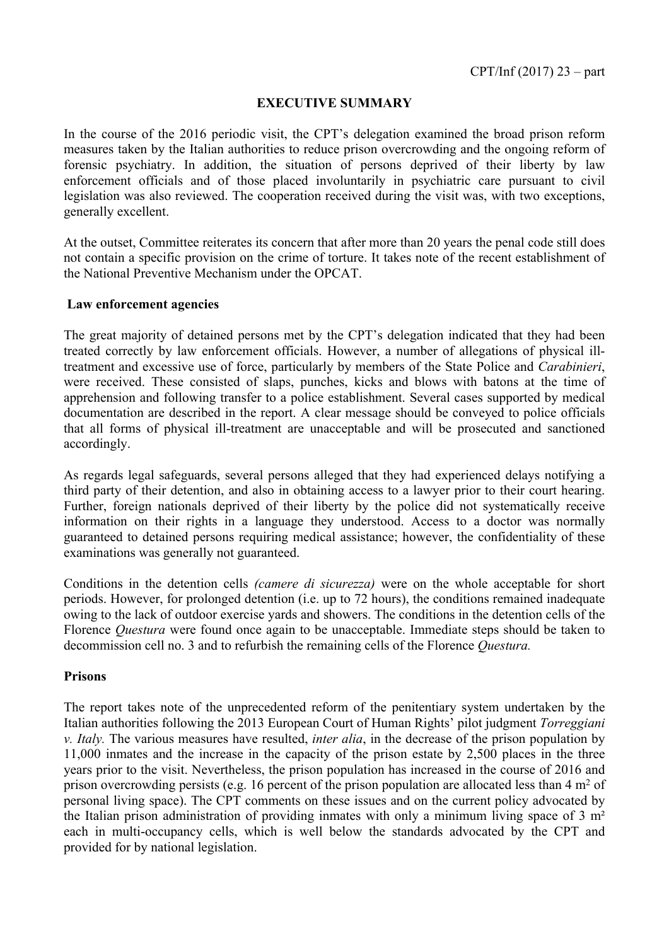## **EXECUTIVE SUMMARY**

In the course of the 2016 periodic visit, the CPT's delegation examined the broad prison reform measures taken by the Italian authorities to reduce prison overcrowding and the ongoing reform of forensic psychiatry. In addition, the situation of persons deprived of their liberty by law enforcement officials and of those placed involuntarily in psychiatric care pursuant to civil legislation was also reviewed. The cooperation received during the visit was, with two exceptions, generally excellent.

At the outset, Committee reiterates its concern that after more than 20 years the penal code still does not contain a specific provision on the crime of torture. It takes note of the recent establishment of the National Preventive Mechanism under the OPCAT.

## **Law enforcement agencies**

The great majority of detained persons met by the CPT's delegation indicated that they had been treated correctly by law enforcement officials. However, a number of allegations of physical illtreatment and excessive use of force, particularly by members of the State Police and *Carabinieri*, were received. These consisted of slaps, punches, kicks and blows with batons at the time of apprehension and following transfer to a police establishment. Several cases supported by medical documentation are described in the report. A clear message should be conveyed to police officials that all forms of physical ill-treatment are unacceptable and will be prosecuted and sanctioned accordingly.

As regards legal safeguards, several persons alleged that they had experienced delays notifying a third party of their detention, and also in obtaining access to a lawyer prior to their court hearing. Further, foreign nationals deprived of their liberty by the police did not systematically receive information on their rights in a language they understood. Access to a doctor was normally guaranteed to detained persons requiring medical assistance; however, the confidentiality of these examinations was generally not guaranteed.

Conditions in the detention cells *(camere di sicurezza)* were on the whole acceptable for short periods. However, for prolonged detention (i.e. up to 72 hours), the conditions remained inadequate owing to the lack of outdoor exercise yards and showers. The conditions in the detention cells of the Florence *Questura* were found once again to be unacceptable. Immediate steps should be taken to decommission cell no. 3 and to refurbish the remaining cells of the Florence *Questura.*

## **Prisons**

The report takes note of the unprecedented reform of the penitentiary system undertaken by the Italian authorities following the 2013 European Court of Human Rights' pilot judgment *Torreggiani v. Italy.* The various measures have resulted, *inter alia*, in the decrease of the prison population by 11,000 inmates and the increase in the capacity of the prison estate by 2,500 places in the three years prior to the visit. Nevertheless, the prison population has increased in the course of 2016 and prison overcrowding persists (e.g. 16 percent of the prison population are allocated less than  $4 \text{ m}^2$  of personal living space). The CPT comments on these issues and on the current policy advocated by the Italian prison administration of providing inmates with only a minimum living space of 3 m² each in multi-occupancy cells, which is well below the standards advocated by the CPT and provided for by national legislation.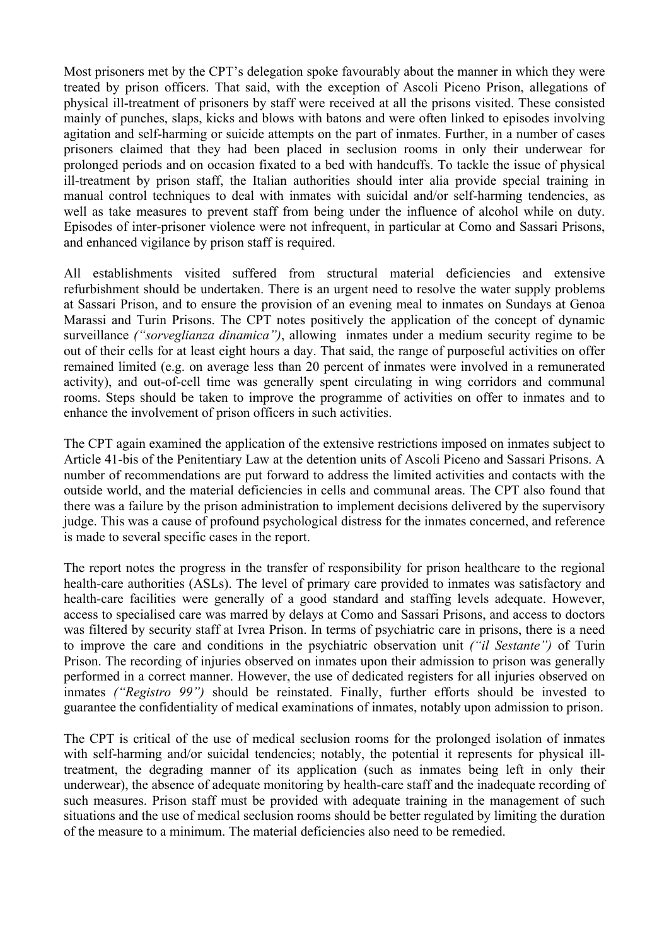Most prisoners met by the CPT's delegation spoke favourably about the manner in which they were treated by prison officers. That said, with the exception of Ascoli Piceno Prison, allegations of physical ill-treatment of prisoners by staff were received at all the prisons visited. These consisted mainly of punches, slaps, kicks and blows with batons and were often linked to episodes involving agitation and self-harming or suicide attempts on the part of inmates. Further, in a number of cases prisoners claimed that they had been placed in seclusion rooms in only their underwear for prolonged periods and on occasion fixated to a bed with handcuffs. To tackle the issue of physical ill-treatment by prison staff, the Italian authorities should inter alia provide special training in manual control techniques to deal with inmates with suicidal and/or self-harming tendencies, as well as take measures to prevent staff from being under the influence of alcohol while on duty. Episodes of inter-prisoner violence were not infrequent, in particular at Como and Sassari Prisons, and enhanced vigilance by prison staff is required.

All establishments visited suffered from structural material deficiencies and extensive refurbishment should be undertaken. There is an urgent need to resolve the water supply problems at Sassari Prison, and to ensure the provision of an evening meal to inmates on Sundays at Genoa Marassi and Turin Prisons. The CPT notes positively the application of the concept of dynamic surveillance *("sorveglianza dinamica")*, allowing inmates under a medium security regime to be out of their cells for at least eight hours a day. That said, the range of purposeful activities on offer remained limited (e.g. on average less than 20 percent of inmates were involved in a remunerated activity), and out-of-cell time was generally spent circulating in wing corridors and communal rooms. Steps should be taken to improve the programme of activities on offer to inmates and to enhance the involvement of prison officers in such activities.

The CPT again examined the application of the extensive restrictions imposed on inmates subject to Article 41-bis of the Penitentiary Law at the detention units of Ascoli Piceno and Sassari Prisons. A number of recommendations are put forward to address the limited activities and contacts with the outside world, and the material deficiencies in cells and communal areas. The CPT also found that there was a failure by the prison administration to implement decisions delivered by the supervisory judge. This was a cause of profound psychological distress for the inmates concerned, and reference is made to several specific cases in the report.

The report notes the progress in the transfer of responsibility for prison healthcare to the regional health-care authorities (ASLs). The level of primary care provided to inmates was satisfactory and health-care facilities were generally of a good standard and staffing levels adequate. However, access to specialised care was marred by delays at Como and Sassari Prisons, and access to doctors was filtered by security staff at Ivrea Prison. In terms of psychiatric care in prisons, there is a need to improve the care and conditions in the psychiatric observation unit *("il Sestante")* of Turin Prison. The recording of injuries observed on inmates upon their admission to prison was generally performed in a correct manner. However, the use of dedicated registers for all injuries observed on inmates *("Registro 99")* should be reinstated. Finally, further efforts should be invested to guarantee the confidentiality of medical examinations of inmates, notably upon admission to prison.

The CPT is critical of the use of medical seclusion rooms for the prolonged isolation of inmates with self-harming and/or suicidal tendencies; notably, the potential it represents for physical illtreatment, the degrading manner of its application (such as inmates being left in only their underwear), the absence of adequate monitoring by health-care staff and the inadequate recording of such measures. Prison staff must be provided with adequate training in the management of such situations and the use of medical seclusion rooms should be better regulated by limiting the duration of the measure to a minimum. The material deficiencies also need to be remedied.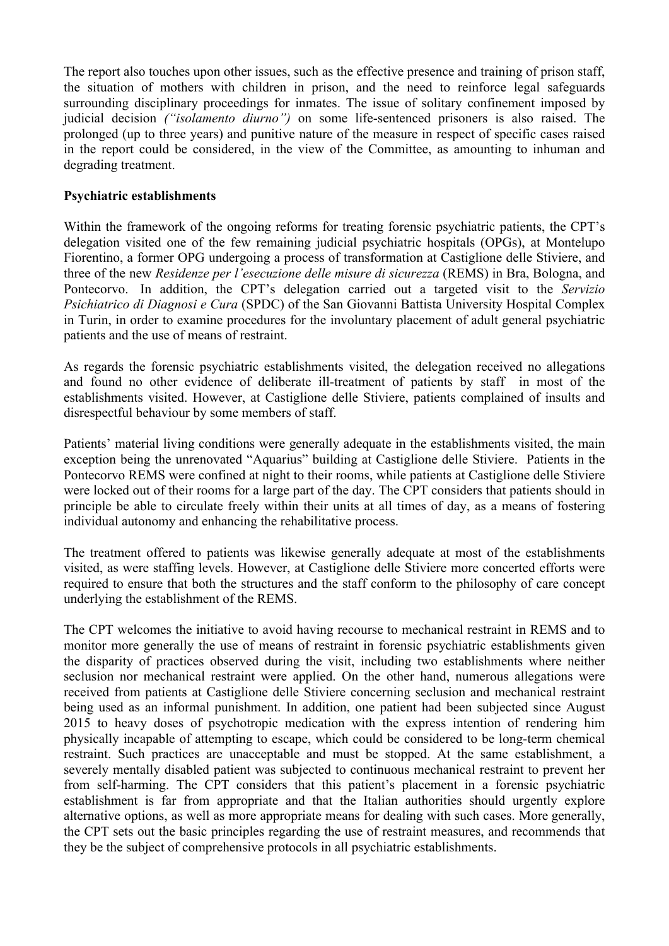The report also touches upon other issues, such as the effective presence and training of prison staff, the situation of mothers with children in prison, and the need to reinforce legal safeguards surrounding disciplinary proceedings for inmates. The issue of solitary confinement imposed by judicial decision *("isolamento diurno")* on some life-sentenced prisoners is also raised. The prolonged (up to three years) and punitive nature of the measure in respect of specific cases raised in the report could be considered, in the view of the Committee, as amounting to inhuman and degrading treatment.

## **Psychiatric establishments**

Within the framework of the ongoing reforms for treating forensic psychiatric patients, the CPT's delegation visited one of the few remaining judicial psychiatric hospitals (OPGs), at Montelupo Fiorentino, a former OPG undergoing a process of transformation at Castiglione delle Stiviere, and three of the new *Residenze per l'esecuzione delle misure di sicurezza* (REMS) in Bra, Bologna, and Pontecorvo. In addition, the CPT's delegation carried out a targeted visit to the *Servizio Psichiatrico di Diagnosi e Cura* (SPDC) of the San Giovanni Battista University Hospital Complex in Turin, in order to examine procedures for the involuntary placement of adult general psychiatric patients and the use of means of restraint.

As regards the forensic psychiatric establishments visited, the delegation received no allegations and found no other evidence of deliberate ill-treatment of patients by staff in most of the establishments visited. However, at Castiglione delle Stiviere, patients complained of insults and disrespectful behaviour by some members of staff.

Patients' material living conditions were generally adequate in the establishments visited, the main exception being the unrenovated "Aquarius" building at Castiglione delle Stiviere. Patients in the Pontecorvo REMS were confined at night to their rooms, while patients at Castiglione delle Stiviere were locked out of their rooms for a large part of the day. The CPT considers that patients should in principle be able to circulate freely within their units at all times of day, as a means of fostering individual autonomy and enhancing the rehabilitative process.

The treatment offered to patients was likewise generally adequate at most of the establishments visited, as were staffing levels. However, at Castiglione delle Stiviere more concerted efforts were required to ensure that both the structures and the staff conform to the philosophy of care concept underlying the establishment of the REMS.

The CPT welcomes the initiative to avoid having recourse to mechanical restraint in REMS and to monitor more generally the use of means of restraint in forensic psychiatric establishments given the disparity of practices observed during the visit, including two establishments where neither seclusion nor mechanical restraint were applied. On the other hand, numerous allegations were received from patients at Castiglione delle Stiviere concerning seclusion and mechanical restraint being used as an informal punishment. In addition, one patient had been subjected since August 2015 to heavy doses of psychotropic medication with the express intention of rendering him physically incapable of attempting to escape, which could be considered to be long-term chemical restraint. Such practices are unacceptable and must be stopped. At the same establishment, a severely mentally disabled patient was subjected to continuous mechanical restraint to prevent her from self-harming. The CPT considers that this patient's placement in a forensic psychiatric establishment is far from appropriate and that the Italian authorities should urgently explore alternative options, as well as more appropriate means for dealing with such cases. More generally, the CPT sets out the basic principles regarding the use of restraint measures, and recommends that they be the subject of comprehensive protocols in all psychiatric establishments.